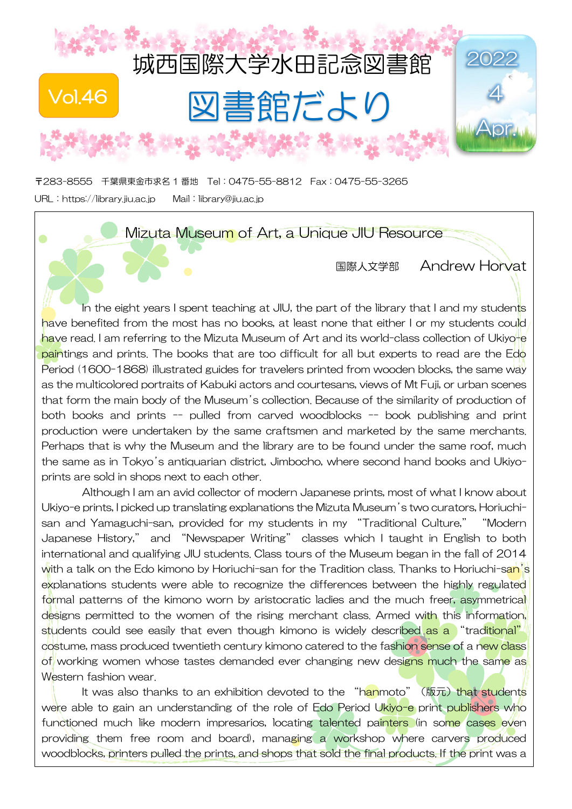

〒283-8555 千葉県東金市求名 1 番地 Tel:0475-55-8812 Fax:0475-55-3265 URL:[https://library.jiu.ac.jp](https://library.jiu.ac.jp/) Mail:[library@jiu.ac.jp](mailto:library@jiu.ac.jp)

 $\bullet$ 

## Mizuta Museum of Art, a Unique JIU Resource

国際人文学部 Andrew Horvat

In the eight years I spent teaching at JIU, the part of the library that I and my students have benefited from the most has no books, at least none that either I or my students could have read. I am referring to the Mizuta Museum of Art and its world-class collection of Ukiyo-e paintings and prints. The books that are too difficult for all but experts to read are the Edo Period (1600-1868) illustrated guides for travelers printed from wooden blocks, the same way as the multicolored portraits of Kabuki actors and courtesans, views of Mt Fuji, or urban scenes that form the main body of the Museum's collection. Because of the similarity of production of both books and prints -- pulled from carved woodblocks -- book publishing and print production were undertaken by the same craftsmen and marketed by the same merchants. Perhaps that is why the Museum and the library are to be found under the same roof, much the same as in Tokyo's antiquarian district, Jimbocho, where second hand books and Ukiyoprints are sold in shops next to each other.

Although I am an avid collector of modern Japanese prints, most of what I know about Ukiyo-e prints, I picked up translating explanations the Mizuta Museum's two curators, Horiuchisan and Yamaguchi-san, provided for my students in my "Traditional Culture," "Modern Japanese History," and "Newspaper Writing" classes which I taught in English to both international and qualifying JIU students. Class tours of the Museum began in the fall of 2014 with a talk on the Edo kimono by Horiuchi-san for the Tradition class. Thanks to Horiuchi-san's explanations students were able to recognize the differences between the highly regulated formal patterns of the kimono worn by aristocratic ladies and the much freer, asymmetrical designs permitted to the women of the rising merchant class. Armed with this information, students could see easily that even though kimono is widely described as a "traditional" costume, mass produced twentieth century kimono catered to the fashion sense of a new class of working women whose tastes demanded ever changing new designs much the same as Western fashion wear.

It was also thanks to an exhibition devoted to the "hanmoto" (版元) that students were able to gain an understanding of the role of Edo Period Ukiyo-e print publishers who functioned much like modern impresarios, locating talented painters (in some cases even providing them free room and board), managing a workshop where carvers produced woodblocks, printers pulled the prints, and shops that sold the final products. If the print was a